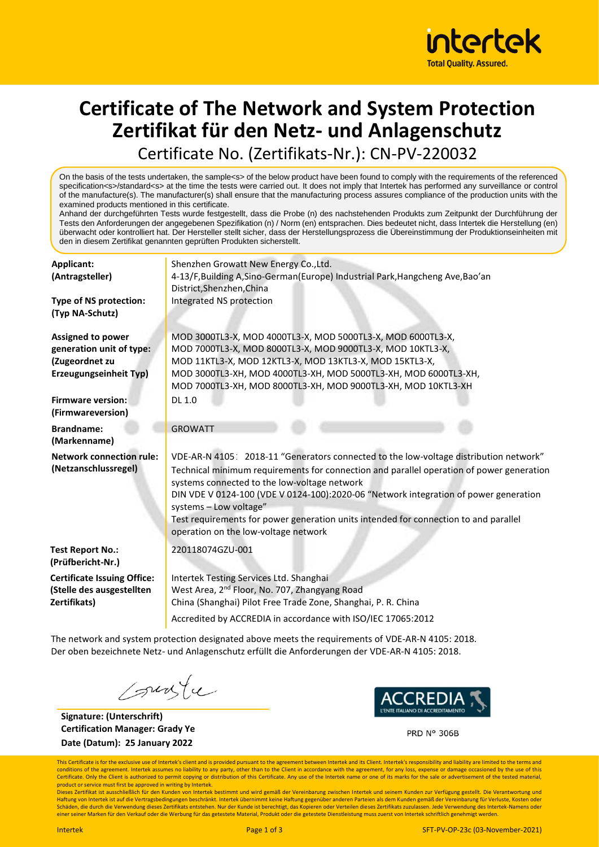

### **Certificate of The Network and System Protection Zertifikat für den Netz- und Anlagenschutz** Certificate No. (Zertifikats-Nr.): CN-PV-220032

On the basis of the tests undertaken, the sample<s> of the below product have been found to comply with the requirements of the referenced specification<s>/standard<s> at the time the tests were carried out. It does not imply that Intertek has performed any surveillance or control of the manufacture(s). The manufacturer(s) shall ensure that the manufacturing process assures compliance of the production units with the examined products mentioned in this certificate.

Anhand der durchgeführten Tests wurde festgestellt, dass die Probe (n) des nachstehenden Produkts zum Zeitpunkt der Durchführung der Tests den Anforderungen der angegebenen Spezifikation (n) / Norm (en) entsprachen. Dies bedeutet nicht, dass Intertek die Herstellung (en) überwacht oder kontrolliert hat. Der Hersteller stellt sicher, dass der Herstellungsprozess die Übereinstimmung der Produktionseinheiten mit den in diesem Zertifikat genannten geprüften Produkten sicherstellt.

| Applicant:                         | Shenzhen Growatt New Energy Co., Ltd.<br>4-13/F, Building A, Sino-German (Europe) Industrial Park, Hangcheng Ave, Bao'an                 |  |  |  |  |
|------------------------------------|------------------------------------------------------------------------------------------------------------------------------------------|--|--|--|--|
| (Antragsteller)                    |                                                                                                                                          |  |  |  |  |
|                                    | District, Shenzhen, China                                                                                                                |  |  |  |  |
| Type of NS protection:             | Integrated NS protection                                                                                                                 |  |  |  |  |
| (Typ NA-Schutz)                    |                                                                                                                                          |  |  |  |  |
| Assigned to power                  | MOD 3000TL3-X, MOD 4000TL3-X, MOD 5000TL3-X, MOD 6000TL3-X,                                                                              |  |  |  |  |
| generation unit of type:           | MOD 7000TL3-X, MOD 8000TL3-X, MOD 9000TL3-X, MOD 10KTL3-X,                                                                               |  |  |  |  |
| (Zugeordnet zu                     | MOD 11KTL3-X, MOD 12KTL3-X, MOD 13KTL3-X, MOD 15KTL3-X,                                                                                  |  |  |  |  |
| Erzeugungseinheit Typ)             | MOD 3000TL3-XH, MOD 4000TL3-XH, MOD 5000TL3-XH, MOD 6000TL3-XH,                                                                          |  |  |  |  |
|                                    | MOD 7000TL3-XH, MOD 8000TL3-XH, MOD 9000TL3-XH, MOD 10KTL3-XH                                                                            |  |  |  |  |
| <b>Firmware version:</b>           | DL 1.0                                                                                                                                   |  |  |  |  |
| (Firmwareversion)                  |                                                                                                                                          |  |  |  |  |
| <b>Brandname:</b>                  | <b>GROWATT</b>                                                                                                                           |  |  |  |  |
| (Markenname)                       |                                                                                                                                          |  |  |  |  |
| <b>Network connection rule:</b>    | VDE-AR-N 4105: 2018-11 "Generators connected to the low-voltage distribution network"                                                    |  |  |  |  |
| (Netzanschlussregel)               | Technical minimum requirements for connection and parallel operation of power generation<br>systems connected to the low-voltage network |  |  |  |  |
|                                    | DIN VDE V 0124-100 (VDE V 0124-100):2020-06 "Network integration of power generation                                                     |  |  |  |  |
|                                    | systems - Low voltage"                                                                                                                   |  |  |  |  |
|                                    | Test requirements for power generation units intended for connection to and parallel                                                     |  |  |  |  |
|                                    | operation on the low-voltage network                                                                                                     |  |  |  |  |
| <b>Test Report No.:</b>            | 220118074GZU-001                                                                                                                         |  |  |  |  |
| (Prüfbericht-Nr.)                  |                                                                                                                                          |  |  |  |  |
| <b>Certificate Issuing Office:</b> | Intertek Testing Services Ltd. Shanghai                                                                                                  |  |  |  |  |
| (Stelle des ausgestellten          | West Area, 2 <sup>nd</sup> Floor, No. 707, Zhangyang Road                                                                                |  |  |  |  |
| Zertifikats)                       | China (Shanghai) Pilot Free Trade Zone, Shanghai, P. R. China                                                                            |  |  |  |  |
|                                    | Accredited by ACCREDIA in accordance with ISO/IEC 17065:2012                                                                             |  |  |  |  |
|                                    |                                                                                                                                          |  |  |  |  |

The network and system protection designated above meets the requirements of VDE-AR-N 4105: 2018. Der oben bezeichnete Netz- und Anlagenschutz erfüllt die Anforderungen der VDE-AR-N 4105: 2018.

sunte

**Signature: (Unterschrift) Certification Manager: Grady Ye Date (Datum): 25 January 2022**



**PRD N° 306B** 

This Certificate is for the exclusive use of Intertek's client and is provided pursuant to the agreement between Intertek and its Client. Intertek's responsibility and liability are limited to the terms and conditions of the agreement. Intertek assumes no liability to any party, other than to the Client in accordance with the agreement, for any loss, expense or damage occasioned by the use of this<br>Certificate. Only the Client product or service must first be approved in writing by Intertek.

Dieses Zertifikat ist ausschließlich für den Kunden von Intertek bestimmt und wird gemäßden Vereinbarung zwischen Intertek und seinem Kunden zur Verfügung gestellt. Die Verantwortung und<br>Haftung von Intertek ist auf die Ve Schäden, die durch die Verwendung dieses Zertifikats entstehen. Nur der Kunde ist berechtigt, das Kopieren oder Verteilen dieses Zertifikats zuzulassen. Jede Verwendung des Intertek-Namens oder einer seiner Marken für den Verkauf oder die Werbung für das getestete Material, Produkt oder die getestete Dienstleistung muss zuerst von Intertek schriftlich genehmigt werden.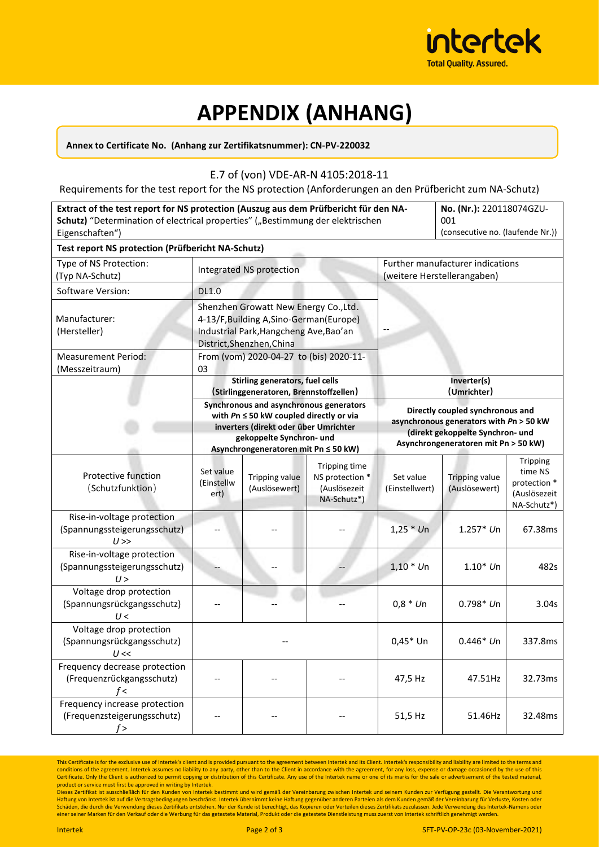

# **APPENDIX (ANHANG)**

#### **Annex to Certificate No. (Anhang zur Zertifikatsnummer): CN-PV-220032**

### E.7 of (von) VDE-AR-N 4105:2018-11

Requirements for the test report for the NS protection (Anforderungen an den Prüfbericht zum NA-Schutz)

| Extract of the test report for NS protection (Auszug aus dem Prüfbericht für den NA-<br>Schutz) "Determination of electrical properties" ("Bestimmung der elektrischen<br>Eigenschaften") | No. (Nr.): 220118074GZU-<br>001<br>(consecutive no. (laufende Nr.))                                                                                                                                 |                                  |                                                                 |                                                                                                                                                         |                                        |                                                                    |
|-------------------------------------------------------------------------------------------------------------------------------------------------------------------------------------------|-----------------------------------------------------------------------------------------------------------------------------------------------------------------------------------------------------|----------------------------------|-----------------------------------------------------------------|---------------------------------------------------------------------------------------------------------------------------------------------------------|----------------------------------------|--------------------------------------------------------------------|
| Test report NS protection (Prüfbericht NA-Schutz)<br>Type of NS Protection:                                                                                                               |                                                                                                                                                                                                     | Further manufacturer indications |                                                                 |                                                                                                                                                         |                                        |                                                                    |
| (Typ NA-Schutz)                                                                                                                                                                           | Integrated NS protection                                                                                                                                                                            |                                  |                                                                 | (weitere Herstellerangaben)                                                                                                                             |                                        |                                                                    |
| Software Version:                                                                                                                                                                         | <b>DL1.0</b>                                                                                                                                                                                        |                                  |                                                                 |                                                                                                                                                         |                                        |                                                                    |
| Manufacturer:<br>(Hersteller)                                                                                                                                                             | Shenzhen Growatt New Energy Co., Ltd.<br>4-13/F, Building A, Sino-German (Europe)<br>Industrial Park, Hangcheng Ave, Bao'an<br>District, Shenzhen, China                                            |                                  |                                                                 |                                                                                                                                                         |                                        |                                                                    |
| <b>Measurement Period:</b><br>(Messzeitraum)                                                                                                                                              | From (vom) 2020-04-27 to (bis) 2020-11-<br>03                                                                                                                                                       |                                  |                                                                 |                                                                                                                                                         |                                        |                                                                    |
|                                                                                                                                                                                           | Stirling generators, fuel cells<br>(Stirlinggeneratoren, Brennstoffzellen)                                                                                                                          |                                  | Inverter(s)<br>(Umrichter)                                      |                                                                                                                                                         |                                        |                                                                    |
|                                                                                                                                                                                           | Synchronous and asynchronous generators<br>with $Pn \le 50$ kW coupled directly or via<br>inverters (direkt oder über Umrichter<br>gekoppelte Synchron- und<br>Asynchrongeneratoren mit Pn ≤ 50 kW) |                                  |                                                                 | Directly coupled synchronous and<br>asynchronous generators with Pn > 50 kW<br>(direkt gekoppelte Synchron- und<br>Asynchrongeneratoren mit Pn > 50 kW) |                                        |                                                                    |
| Protective function<br>(Schutzfunktion)                                                                                                                                                   | Set value<br>(Einstellw<br>ert)                                                                                                                                                                     | Tripping value<br>(Auslösewert)  | Tripping time<br>NS protection *<br>(Auslösezeit<br>NA-Schutz*) | Set value<br>(Einstellwert)                                                                                                                             | <b>Tripping value</b><br>(Auslösewert) | Tripping<br>time NS<br>protection *<br>(Auslösezeit<br>NA-Schutz*) |
| Rise-in-voltage protection<br>(Spannungssteigerungsschutz)<br>$U \gg$                                                                                                                     |                                                                                                                                                                                                     |                                  |                                                                 | $1,25 * Un$                                                                                                                                             | $1.257*$ Un                            | 67.38ms                                                            |
| Rise-in-voltage protection<br>(Spannungssteigerungsschutz)<br>U>                                                                                                                          |                                                                                                                                                                                                     |                                  |                                                                 | $1,10 * Un$                                                                                                                                             | $1.10*$ Un                             | 482s                                                               |
| Voltage drop protection<br>(Spannungsrückgangsschutz)<br>U<                                                                                                                               |                                                                                                                                                                                                     |                                  |                                                                 | $0,8 * Un$                                                                                                                                              | $0.798*$ Un                            | 3.04s                                                              |
| Voltage drop protection<br>(Spannungsrückgangsschutz)<br>U <<                                                                                                                             |                                                                                                                                                                                                     |                                  |                                                                 | $0,45*$ Un                                                                                                                                              | $0.446*$ Un                            | 337.8ms                                                            |
| Frequency decrease protection<br>(Frequenzrückgangsschutz)<br>$f$ <                                                                                                                       |                                                                                                                                                                                                     |                                  |                                                                 | 47,5 Hz                                                                                                                                                 | 47.51Hz                                | 32.73ms                                                            |
| Frequency increase protection<br>(Frequenzsteigerungsschutz)<br>f >                                                                                                                       |                                                                                                                                                                                                     |                                  |                                                                 | 51,5 Hz                                                                                                                                                 | 51.46Hz                                | 32.48ms                                                            |

This Certificate is for the exclusive use of Intertek's client and is provided pursuant to the agreement between Intertek and its Client. Intertek's responsibility and liability are limited to the terms and conditions of the agreement. Intertek assumes no liability to any party, other than to the Client in accordance with the agreement, for any loss, expense or damage occasioned by the use of this<br>Certificate. Only the Client product or service must first be approved in writing by Intertek.

Dieses Zertifikat ist ausschließlich für den Kunden von Intertek bestimmt und wird gemäßden Vereinbarung zwischen Intertek und seinem Kunden zur Verfügung gestellt. Die Verantwortung und<br>Haftung von Intertek ist auf die Ve Schäden, die durch die Verwendung dieses Zertifikats entstehen. Nur der Kunde ist berechtigt, das Kopieren oder Verteilen dieses Zertifikats zuzulassen. Jede Verwendung des Intertek-Namens oder einer seiner Marken für den Verkauf oder die Werbung für das getestete Material, Produkt oder die getestete Dienstleistung muss zuerst von Intertek schriftlich genehmigt werden.